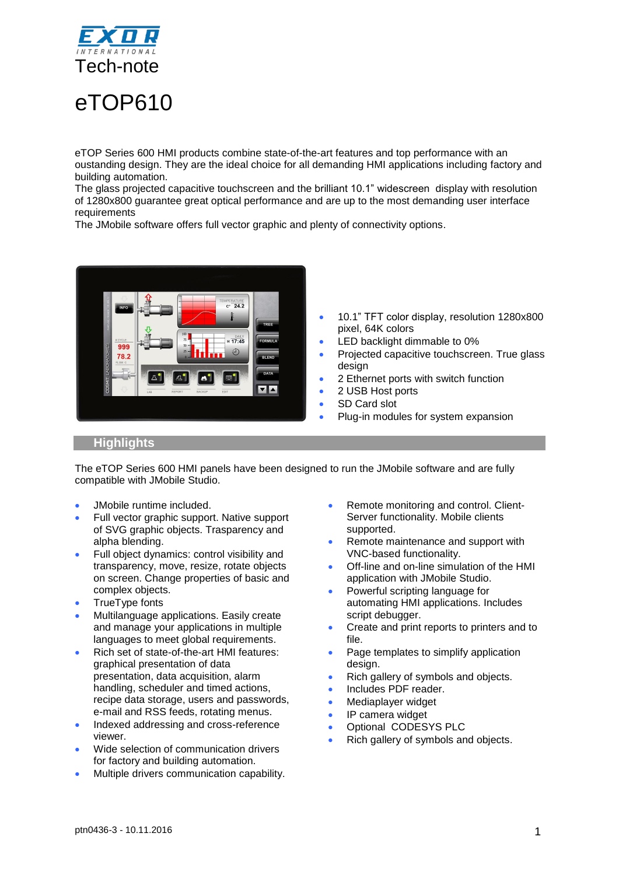

# eTOP610

eTOP Series 600 HMI products combine state-of-the-art features and top performance with an oustanding design. They are the ideal choice for all demanding HMI applications including factory and building automation.

The glass projected capacitive touchscreen and the brilliant 10.1" widescreen display with resolution of 1280x800 guarantee great optical performance and are up to the most demanding user interface requirements

The JMobile software offers full vector graphic and plenty of connectivity options.



- 10.1" TFT color display, resolution 1280x800 pixel, 64K colors
- LED backlight dimmable to 0%
- Projected capacitive touchscreen. True glass design
- 2 Ethernet ports with switch function
- 2 USB Host ports
- SD Card slot
- Plug-in modules for system expansion

#### **Highlights**

The eTOP Series 600 HMI panels have been designed to run the JMobile software and are fully compatible with JMobile Studio.

- JMobile runtime included.
- Full vector graphic support. Native support of SVG graphic objects. Trasparency and alpha blending.
- Full object dynamics: control visibility and transparency, move, resize, rotate objects on screen. Change properties of basic and complex objects.
- TrueType fonts
- Multilanguage applications. Easily create and manage your applications in multiple languages to meet global requirements.
- Rich set of state-of-the-art HMI features: graphical presentation of data presentation, data acquisition, alarm handling, scheduler and timed actions, recipe data storage, users and passwords, e-mail and RSS feeds, rotating menus.
- Indexed addressing and cross-reference viewer.
- Wide selection of communication drivers for factory and building automation.
- Multiple drivers communication capability.
- Remote monitoring and control. Client-Server functionality. Mobile clients supported.
- Remote maintenance and support with VNC-based functionality.
- Off-line and on-line simulation of the HMI application with JMobile Studio.
- Powerful scripting language for automating HMI applications. Includes script debugger.
- Create and print reports to printers and to file.
- Page templates to simplify application design.
- Rich gallery of symbols and objects.
- Includes PDF reader.
- Mediaplayer widget
- IP camera widget
- Optional CODESYS PLC
- Rich gallery of symbols and objects.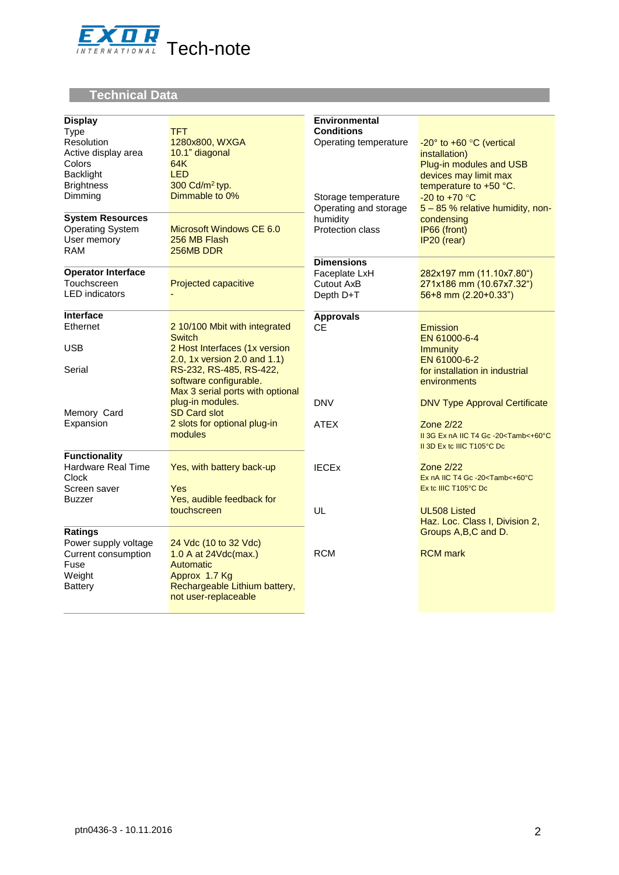

# **Technical Data**

| <b>Display</b><br>Type<br>Resolution<br>Active display area<br>Colors<br><b>Backlight</b><br><b>Brightness</b><br>Dimming<br><b>System Resources</b><br><b>Operating System</b><br>User memory | <b>TFT</b><br>1280x800, WXGA<br>10.1" diagonal<br>64K<br><b>LED</b><br>300 Cd/m <sup>2</sup> typ.<br>Dimmable to 0%<br>Microsoft Windows CE 6.0<br>256 MB Flash | <b>Environmental</b><br><b>Conditions</b><br>Operating temperature<br>Storage temperature<br>Operating and storage<br>humidity<br>Protection class | $-20^\circ$ to $+60^\circ$ C (vertical<br>installation)<br>Plug-in modules and USB<br>devices may limit max<br>temperature to +50 °C.<br>$-20$ to $+70$ °C<br>5 - 85 % relative humidity, non-<br>condensing<br>IP66 (front)<br>IP20 (rear) |
|------------------------------------------------------------------------------------------------------------------------------------------------------------------------------------------------|-----------------------------------------------------------------------------------------------------------------------------------------------------------------|----------------------------------------------------------------------------------------------------------------------------------------------------|---------------------------------------------------------------------------------------------------------------------------------------------------------------------------------------------------------------------------------------------|
| <b>RAM</b>                                                                                                                                                                                     | 256MB DDR                                                                                                                                                       |                                                                                                                                                    |                                                                                                                                                                                                                                             |
| <b>Operator Interface</b><br>Touchscreen<br><b>LED</b> indicators                                                                                                                              | Projected capacitive                                                                                                                                            | <b>Dimensions</b><br>Faceplate LxH<br><b>Cutout AxB</b><br>Depth D+T                                                                               | 282x197 mm (11.10x7.80")<br>271x186 mm (10.67x7.32")<br>$56+8$ mm $(2.20+0.33")$                                                                                                                                                            |
| Interface<br>Ethernet                                                                                                                                                                          | 2 10/100 Mbit with integrated                                                                                                                                   | <b>Approvals</b><br><b>CE</b>                                                                                                                      | Emission                                                                                                                                                                                                                                    |
| <b>USB</b><br>Serial                                                                                                                                                                           | <b>Switch</b><br>2 Host Interfaces (1x version<br>2.0, 1x version 2.0 and 1.1)<br>RS-232, RS-485, RS-422,<br>software configurable.                             |                                                                                                                                                    | EN 61000-6-4<br><b>Immunity</b><br>EN 61000-6-2<br>for installation in industrial<br>environments                                                                                                                                           |
| Memory Card                                                                                                                                                                                    | Max 3 serial ports with optional<br>plug-in modules.<br><b>SD Card slot</b>                                                                                     | <b>DNV</b>                                                                                                                                         | <b>DNV Type Approval Certificate</b>                                                                                                                                                                                                        |
| Expansion                                                                                                                                                                                      | 2 slots for optional plug-in<br>modules                                                                                                                         | <b>ATEX</b>                                                                                                                                        | <b>Zone 2/22</b><br>II 3G Ex nA IIC T4 Gc -20 <tamb<+60°c<br>II 3D Ex to IIIC T105°C Do</tamb<+60°c<br>                                                                                                                                     |
| <b>Functionality</b><br>Hardware Real Time<br>Clock<br>Screen saver<br>Buzzer                                                                                                                  | Yes, with battery back-up<br>Yes<br>Yes, audible feedback for                                                                                                   | <b>IECE<sub>x</sub></b>                                                                                                                            | <b>Zone 2/22</b><br>Ex nA IIC T4 Gc -20 <tamb<+60°c<br>Ex to IIIC T105°C Do</tamb<+60°c<br>                                                                                                                                                 |
|                                                                                                                                                                                                | touchscreen                                                                                                                                                     | UL                                                                                                                                                 | <b>UL508 Listed</b><br>Haz. Loc. Class I, Division 2,                                                                                                                                                                                       |
| <b>Ratings</b><br>Power supply voltage<br>Current consumption<br>Fuse<br>Weight<br><b>Battery</b>                                                                                              | 24 Vdc (10 to 32 Vdc)<br>1.0 A at 24Vdc(max.)<br>Automatic<br>Approx 1.7 Kg<br>Rechargeable Lithium battery,<br>not user-replaceable                            | <b>RCM</b>                                                                                                                                         | Groups A, B, C and D.<br><b>RCM</b> mark                                                                                                                                                                                                    |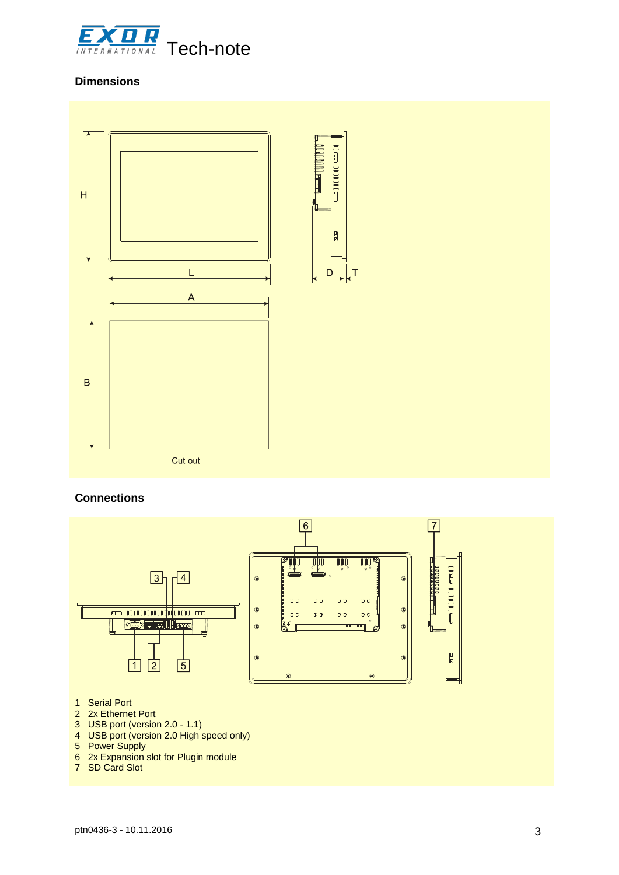

#### **Dimensions**



## **Connections**



- 1 Serial Port
- 2 2x Ethernet Port
- 3 USB port (version 2.0 1.1)
- 4 USB port (version 2.0 High speed only)
- 5 Power Supply
- 6 2x Expansion slot for Plugin module
- 7 SD Card Slot